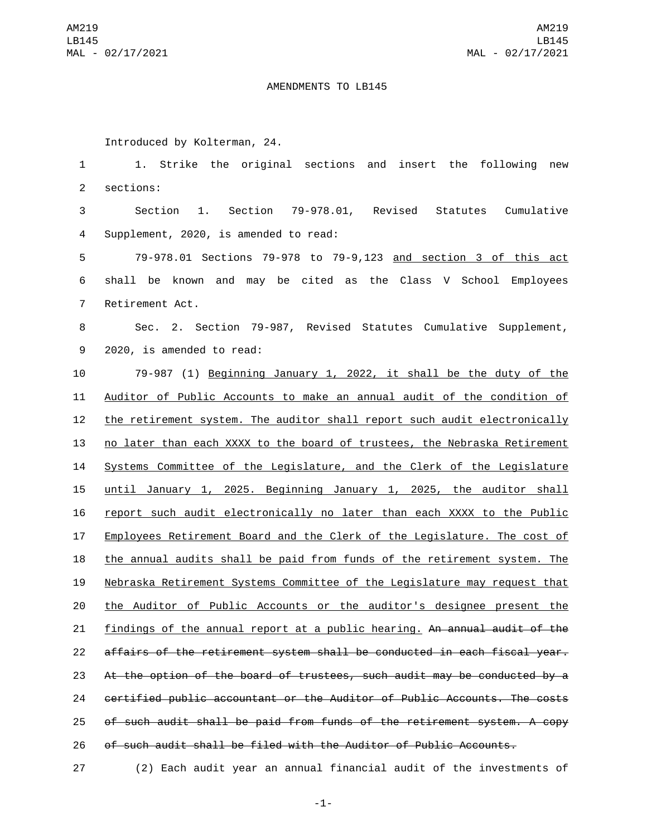## AMENDMENTS TO LB145

Introduced by Kolterman, 24.

 1. Strike the original sections and insert the following new 2 sections: Section 1. Section 79-978.01, Revised Statutes Cumulative 4 Supplement, 2020, is amended to read: 79-978.01 Sections 79-978 to 79-9,123 and section 3 of this act shall be known and may be cited as the Class V School Employees 7 Retirement Act. Sec. 2. Section 79-987, Revised Statutes Cumulative Supplement, 9 2020, is amended to read: 79-987 (1) Beginning January 1, 2022, it shall be the duty of the Auditor of Public Accounts to make an annual audit of the condition of the retirement system. The auditor shall report such audit electronically no later than each XXXX to the board of trustees, the Nebraska Retirement Systems Committee of the Legislature, and the Clerk of the Legislature until January 1, 2025. Beginning January 1, 2025, the auditor shall report such audit electronically no later than each XXXX to the Public Employees Retirement Board and the Clerk of the Legislature. The cost of the annual audits shall be paid from funds of the retirement system. The Nebraska Retirement Systems Committee of the Legislature may request that the Auditor of Public Accounts or the auditor's designee present the 21 findings of the annual report at a public hearing. An annual audit of the affairs of the retirement system shall be conducted in each fiscal year. At the option of the board of trustees, such audit may be conducted by a certified public accountant or the Auditor of Public Accounts. The costs of such audit shall be paid from funds of the retirement system. A copy of such audit shall be filed with the Auditor of Public Accounts.

(2) Each audit year an annual financial audit of the investments of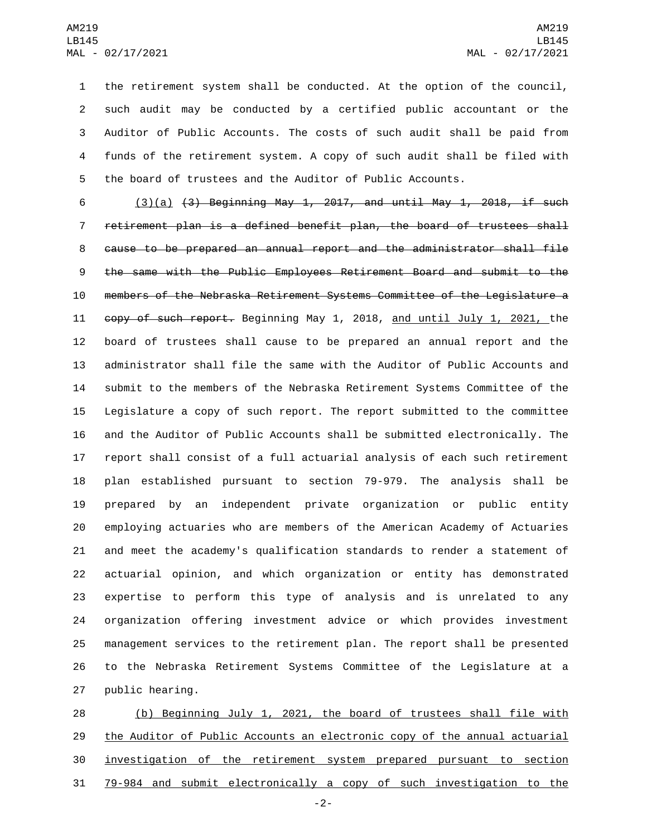the retirement system shall be conducted. At the option of the council, such audit may be conducted by a certified public accountant or the Auditor of Public Accounts. The costs of such audit shall be paid from funds of the retirement system. A copy of such audit shall be filed with the board of trustees and the Auditor of Public Accounts.

 $(3)(a)$   $(3)$  Beginning May 1, 2017, and until May 1, 2018, if such retirement plan is a defined benefit plan, the board of trustees shall cause to be prepared an annual report and the administrator shall file the same with the Public Employees Retirement Board and submit to the members of the Nebraska Retirement Systems Committee of the Legislature a copy of such report. Beginning May 1, 2018, and until July 1, 2021, the board of trustees shall cause to be prepared an annual report and the administrator shall file the same with the Auditor of Public Accounts and submit to the members of the Nebraska Retirement Systems Committee of the Legislature a copy of such report. The report submitted to the committee and the Auditor of Public Accounts shall be submitted electronically. The report shall consist of a full actuarial analysis of each such retirement plan established pursuant to section 79-979. The analysis shall be prepared by an independent private organization or public entity employing actuaries who are members of the American Academy of Actuaries and meet the academy's qualification standards to render a statement of actuarial opinion, and which organization or entity has demonstrated expertise to perform this type of analysis and is unrelated to any organization offering investment advice or which provides investment management services to the retirement plan. The report shall be presented to the Nebraska Retirement Systems Committee of the Legislature at a 27 public hearing.

 (b) Beginning July 1, 2021, the board of trustees shall file with the Auditor of Public Accounts an electronic copy of the annual actuarial investigation of the retirement system prepared pursuant to section 79-984 and submit electronically a copy of such investigation to the

-2-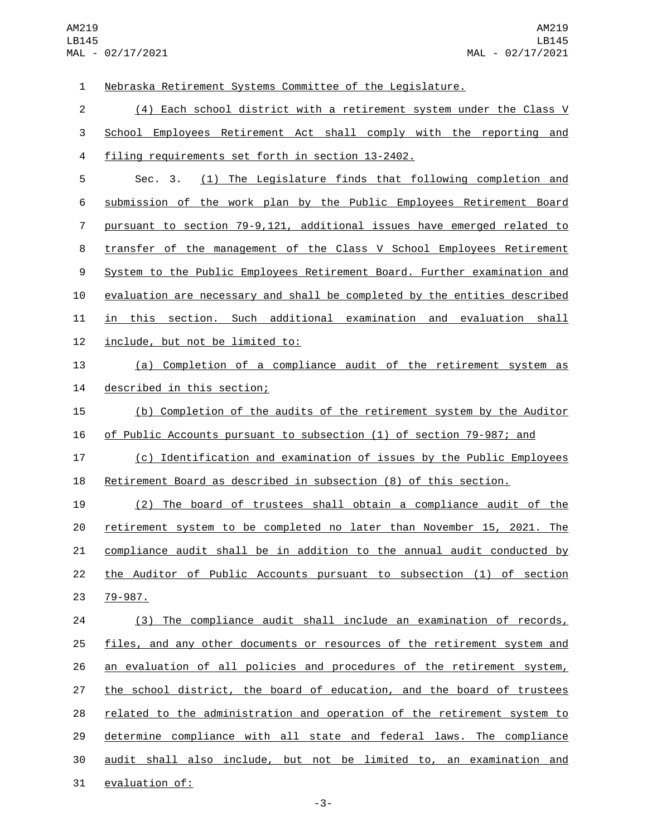Nebraska Retirement Systems Committee of the Legislature. (4) Each school district with a retirement system under the Class V School Employees Retirement Act shall comply with the reporting and 4 filing requirements set forth in section 13-2402. Sec. 3. (1) The Legislature finds that following completion and submission of the work plan by the Public Employees Retirement Board pursuant to section 79-9,121, additional issues have emerged related to transfer of the management of the Class V School Employees Retirement System to the Public Employees Retirement Board. Further examination and evaluation are necessary and shall be completed by the entities described 11 in this section. Such additional examination and evaluation shall 12 include, but not be limited to: (a) Completion of a compliance audit of the retirement system as 14 described in this section; (b) Completion of the audits of the retirement system by the Auditor of Public Accounts pursuant to subsection (1) of section 79-987; and (c) Identification and examination of issues by the Public Employees Retirement Board as described in subsection (8) of this section. (2) The board of trustees shall obtain a compliance audit of the retirement system to be completed no later than November 15, 2021. The compliance audit shall be in addition to the annual audit conducted by the Auditor of Public Accounts pursuant to subsection (1) of section 23 79-987. (3) The compliance audit shall include an examination of records, files, and any other documents or resources of the retirement system and an evaluation of all policies and procedures of the retirement system, 27 the school district, the board of education, and the board of trustees related to the administration and operation of the retirement system to determine compliance with all state and federal laws. The compliance audit shall also include, but not be limited to, an examination and 31 evaluation of: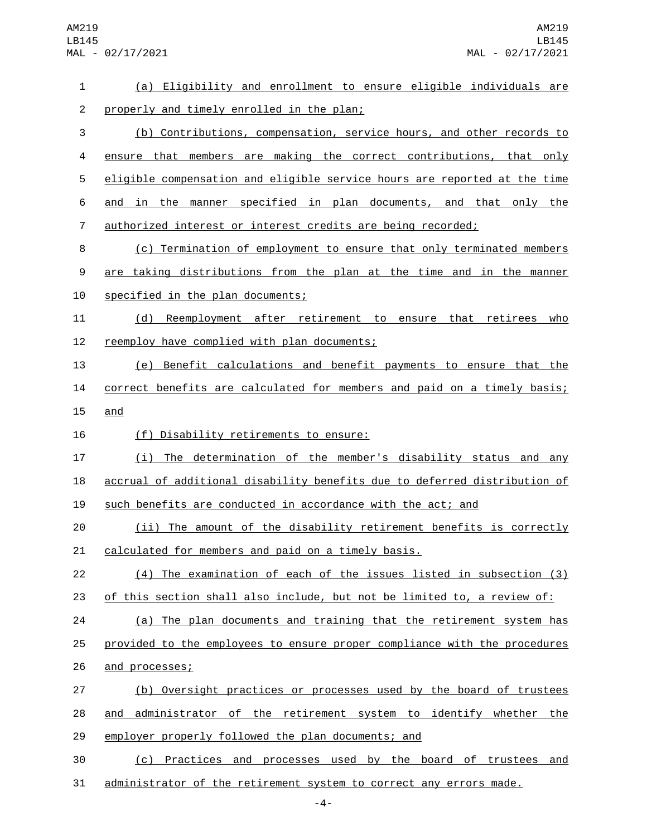| $\mathbf{1}$   | (a) Eligibility and enrollment to ensure eligible individuals are         |
|----------------|---------------------------------------------------------------------------|
| $\overline{c}$ | properly and timely enrolled in the plan;                                 |
| 3              | (b) Contributions, compensation, service hours, and other records to      |
| 4              | ensure that members are making the correct contributions, that only       |
| 5              | eligible compensation and eligible service hours are reported at the time |
| 6              | and in the manner specified in plan documents, and that only the          |
| 7              | authorized interest or interest credits are being recorded;               |
| 8              | (c) Termination of employment to ensure that only terminated members      |
| 9              | are taking distributions from the plan at the time and in the manner      |
| 10             | specified in the plan documents;                                          |
| 11             | Reemployment after retirement to ensure that retirees who<br>(d)          |
| 12             | reemploy have complied with plan documents;                               |
| 13             | (e) Benefit calculations and benefit payments to ensure that the          |
| 14             | correct benefits are calculated for members and paid on a timely basis;   |
| 15             | and                                                                       |
| 16             | (f) Disability retirements to ensure:                                     |
| 17             | (i) The determination of the member's disability status and any           |
| 18             | accrual of additional disability benefits due to deferred distribution of |
| 19             | such benefits are conducted in accordance with the act; and               |
| 20             | (ii) The amount of the disability retirement benefits is correctly        |
| 21             | calculated for members and paid on a timely basis.                        |
| 22             | (4) The examination of each of the issues listed in subsection (3)        |
| 23             | of this section shall also include, but not be limited to, a review of:   |
| 24             | (a) The plan documents and training that the retirement system has        |
| 25             | provided to the employees to ensure proper compliance with the procedures |
| 26             | and processes;                                                            |
| 27             | (b) Oversight practices or processes used by the board of trustees        |
| 28             | administrator of the retirement system to identify whether the<br>and     |
| 29             | employer properly followed the plan documents; and                        |
| 30             | (c) Practices and processes used by the board of trustees and             |
| 31             | administrator of the retirement system to correct any errors made.        |

-4-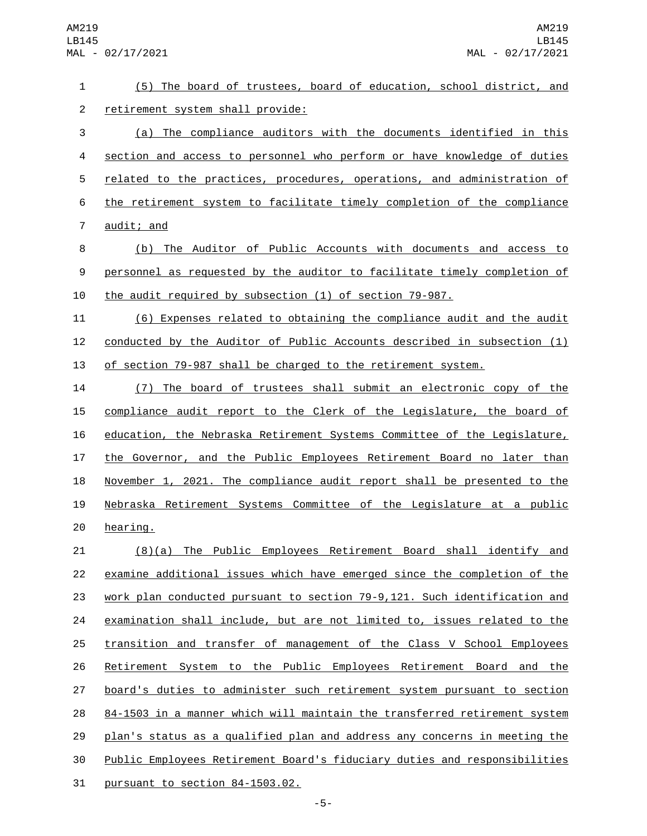(5) The board of trustees, board of education, school district, and 2 retirement system shall provide: (a) The compliance auditors with the documents identified in this section and access to personnel who perform or have knowledge of duties 5 related to the practices, procedures, operations, and administration of the retirement system to facilitate timely completion of the compliance 7 audit; and (b) The Auditor of Public Accounts with documents and access to personnel as requested by the auditor to facilitate timely completion of the audit required by subsection (1) of section 79-987. (6) Expenses related to obtaining the compliance audit and the audit conducted by the Auditor of Public Accounts described in subsection (1) of section 79-987 shall be charged to the retirement system. (7) The board of trustees shall submit an electronic copy of the compliance audit report to the Clerk of the Legislature, the board of education, the Nebraska Retirement Systems Committee of the Legislature, the Governor, and the Public Employees Retirement Board no later than November 1, 2021. The compliance audit report shall be presented to the Nebraska Retirement Systems Committee of the Legislature at a public 20 hearing. (8)(a) The Public Employees Retirement Board shall identify and examine additional issues which have emerged since the completion of the work plan conducted pursuant to section 79-9,121. Such identification and examination shall include, but are not limited to, issues related to the transition and transfer of management of the Class V School Employees Retirement System to the Public Employees Retirement Board and the board's duties to administer such retirement system pursuant to section 84-1503 in a manner which will maintain the transferred retirement system plan's status as a qualified plan and address any concerns in meeting the

- Public Employees Retirement Board's fiduciary duties and responsibilities
- pursuant to section  $84-1503.02$ .
- -5-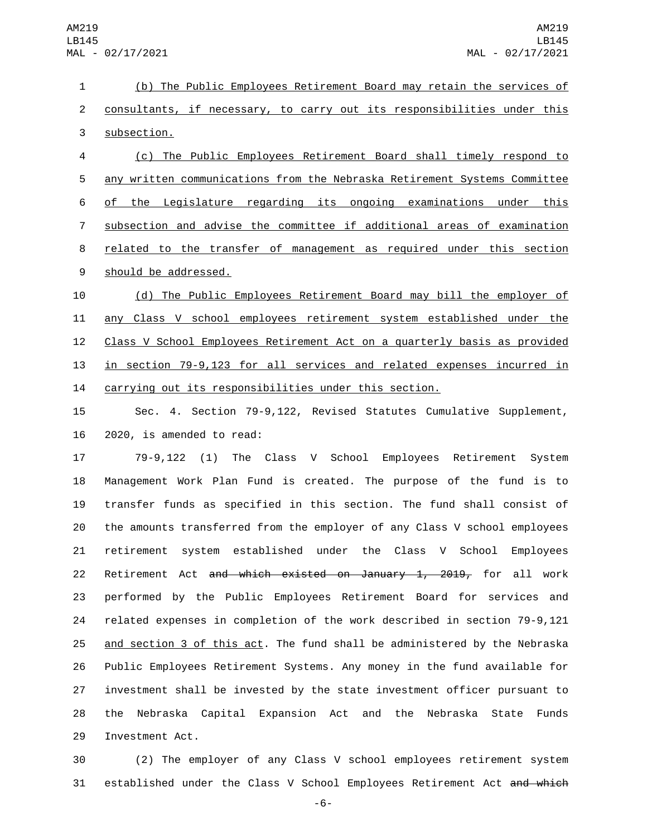(b) The Public Employees Retirement Board may retain the services of 2 consultants, if necessary, to carry out its responsibilities under this 3 subsection. (c) The Public Employees Retirement Board shall timely respond to any written communications from the Nebraska Retirement Systems Committee

 of the Legislature regarding its ongoing examinations under this subsection and advise the committee if additional areas of examination related to the transfer of management as required under this section 9 should be addressed.

 (d) The Public Employees Retirement Board may bill the employer of any Class V school employees retirement system established under the Class V School Employees Retirement Act on a quarterly basis as provided in section 79-9,123 for all services and related expenses incurred in carrying out its responsibilities under this section.

 Sec. 4. Section 79-9,122, Revised Statutes Cumulative Supplement, 2020, is amended to read:

 79-9,122 (1) The Class V School Employees Retirement System Management Work Plan Fund is created. The purpose of the fund is to transfer funds as specified in this section. The fund shall consist of the amounts transferred from the employer of any Class V school employees retirement system established under the Class V School Employees 22 Retirement Act and which existed on January 1, 2019, for all work performed by the Public Employees Retirement Board for services and related expenses in completion of the work described in section 79-9,121 and section 3 of this act. The fund shall be administered by the Nebraska Public Employees Retirement Systems. Any money in the fund available for investment shall be invested by the state investment officer pursuant to the Nebraska Capital Expansion Act and the Nebraska State Funds 29 Investment Act.

 (2) The employer of any Class V school employees retirement system 31 established under the Class V School Employees Retirement Act and which

-6-